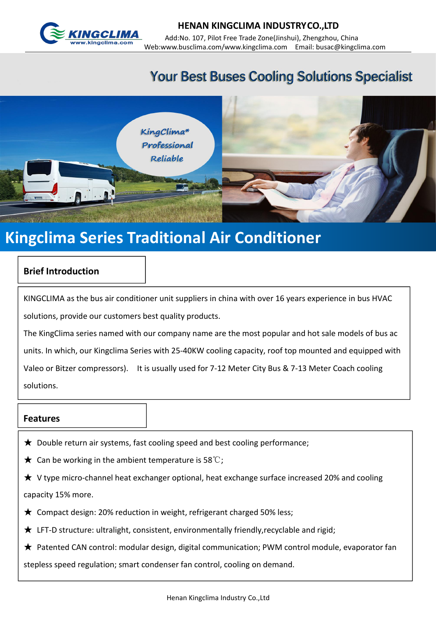

# **Your Best Buses Cooling Solutions Specialist**



# **Kingclima Series Traditional Air Conditioner**

### **Brief Introduction**

KINGCLIMA as the bus air conditioner unit suppliers in china with over 16 years experience in bus HVAC solutions, provide our customers best quality products.

The KingClima series named with our company name are the most popular and hot sale models of bus ac units. In which, our Kingclima Series with 25-40KW cooling capacity, roof top mounted and equipped with Valeo or Bitzer compressors). It is usually used for 7-12 Meter City Bus & 7-13 Meter Coach cooling solutions.

#### **Features**

- ★ Double return air systems, fast cooling speed and best cooling performance;
- $\bigstar$  Can be working in the ambient temperature is 58°C;
- ★ V type micro-channel heat exchanger optional, heat exchange surface increased 20% and cooling capacity 15% more.
- $\bigstar$  Compact design: 20% reduction in weight, refrigerant charged 50% less;
- ★ LFT-D structure: ultralight, consistent, environmentally friendly,recyclable and rigid;
- ★ Patented CAN control: modular design, digital communication; PWM control module, evaporator fan

stepless speed regulation; smart condenser fan control, cooling on demand.